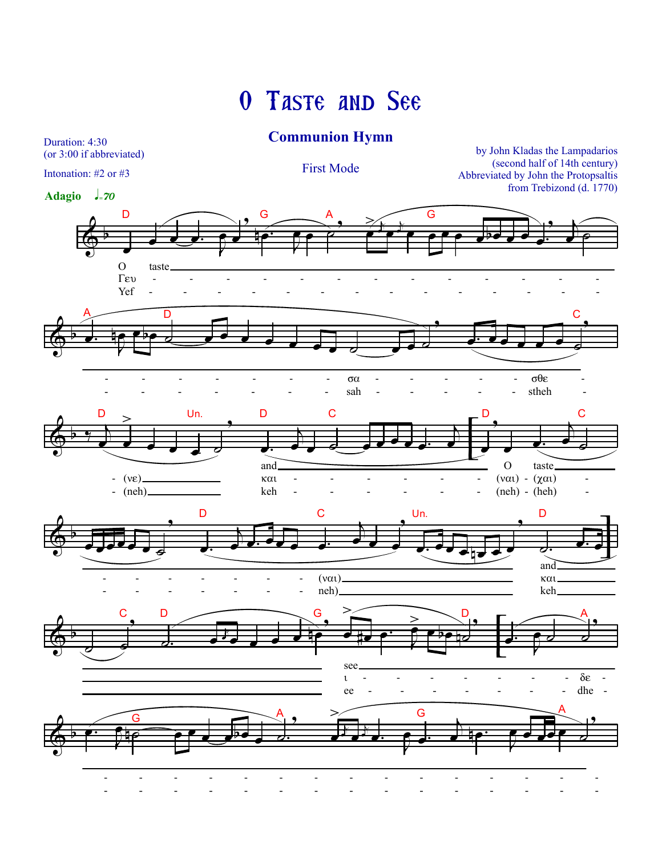## O TASTE AND SEE

## **Communion Hymn**

(or 3:00 if abbreviated) Intonation: #2 or #3

Duration: 4:30

**First Mode** 

by John Kladas the Lampadarios (second half of 14th century) Abbreviated by John the Protopsaltis from Trebizond (d. 1770)

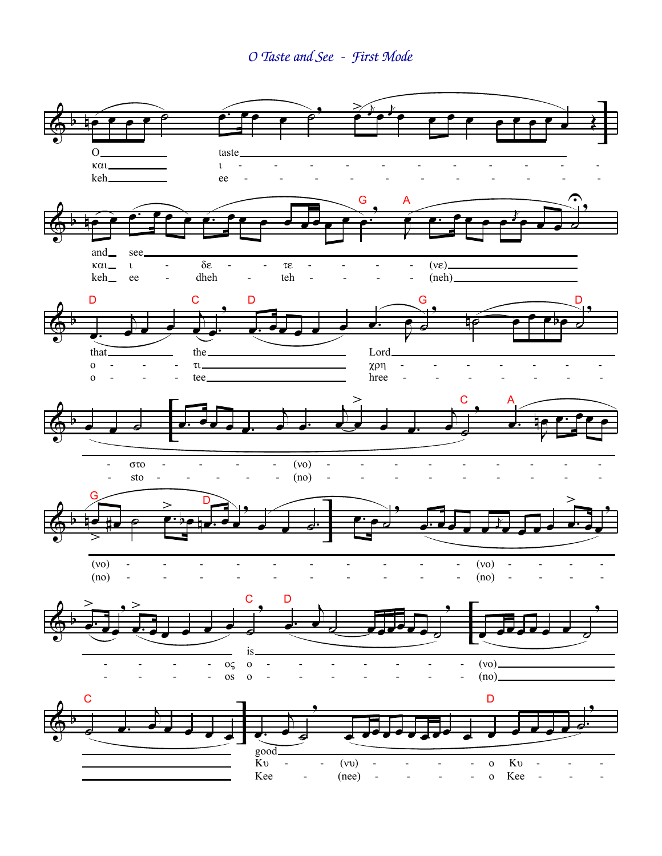O Taste and See - First Mode